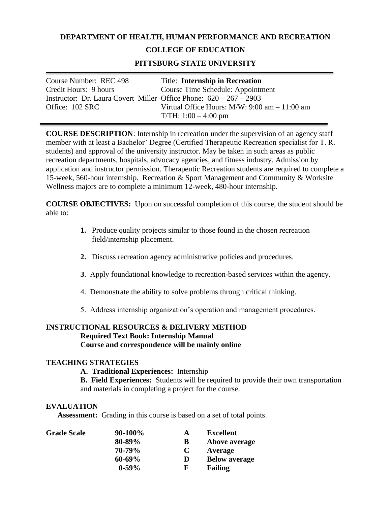## **DEPARTMENT OF HEALTH, HUMAN PERFORMANCE AND RECREATION**

## **COLLEGE OF EDUCATION**

## **PITTSBURG STATE UNIVERSITY**

| Course Number: REC 498                                               | Title: Internship in Recreation                     |
|----------------------------------------------------------------------|-----------------------------------------------------|
| Credit Hours: 9 hours                                                | Course Time Schedule: Appointment                   |
| Instructor: Dr. Laura Covert Miller Office Phone: $620 - 267 - 2903$ |                                                     |
| Office: 102 SRC                                                      | Virtual Office Hours: $M/W$ : 9:00 am $- 11$ :00 am |
|                                                                      | $T/TH: 1:00 - 4:00$ pm                              |

**COURSE DESCRIPTION**: Internship in recreation under the supervision of an agency staff member with at least a Bachelor' Degree (Certified Therapeutic Recreation specialist for T. R. students) and approval of the university instructor. May be taken in such areas as public recreation departments, hospitals, advocacy agencies, and fitness industry. Admission by application and instructor permission. Therapeutic Recreation students are required to complete a 15-week, 560-hour internship. Recreation & Sport Management and Community & Worksite Wellness majors are to complete a minimum 12-week, 480-hour internship.

**COURSE OBJECTIVES:** Upon on successful completion of this course, the student should be able to:

- **1.** Produce quality projects similar to those found in the chosen recreation field/internship placement.
- **2.** Discuss recreation agency administrative policies and procedures.
- **3**. Apply foundational knowledge to recreation-based services within the agency.
- 4. Demonstrate the ability to solve problems through critical thinking.
- 5. Address internship organization's operation and management procedures.

# **INSTRUCTIONAL RESOURCES & DELIVERY METHOD Required Text Book: Internship Manual Course and correspondence will be mainly online**

### **TEACHING STRATEGIES**

**A. Traditional Experiences:** Internship

**B. Field Experiences:** Students will be required to provide their own transportation and materials in completing a project for the course.

#### **EVALUATION**

**Assessment:** Grading in this course is based on a set of total points.

| <b>Grade Scale</b> | 90-100% | A | <b>Excellent</b>     |
|--------------------|---------|---|----------------------|
|                    | 80-89%  | B | Above average        |
|                    | 70-79%  | C | Average              |
|                    | 60-69%  | D | <b>Below average</b> |
|                    | $0-59%$ | F | <b>Failing</b>       |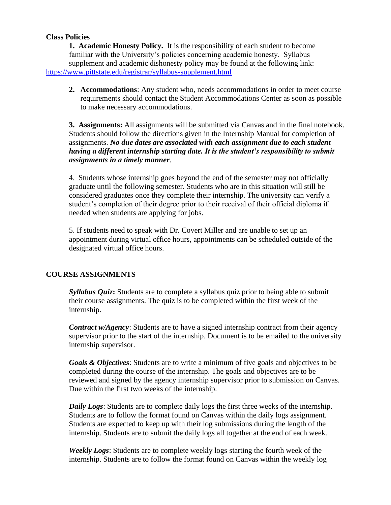### **Class Policies**

**1. Academic Honesty Policy.** It is the responsibility of each student to become familiar with the University's policies concerning academic honesty. Syllabus supplement and academic dishonesty policy may be found at the following link: <https://www.pittstate.edu/registrar/syllabus-supplement.html>

**2. Accommodations**: Any student who, needs accommodations in order to meet course requirements should contact the Student Accommodations Center as soon as possible to make necessary accommodations.

**3. Assignments:** All assignments will be submitted via Canvas and in the final notebook. Students should follow the directions given in the Internship Manual for completion of assignments. *No due dates are associated with each assignment due to each student having a different internship starting date. It is the student's responsibility to submit assignments in a timely manner*.

4. Students whose internship goes beyond the end of the semester may not officially graduate until the following semester. Students who are in this situation will still be considered graduates once they complete their internship. The university can verify a student's completion of their degree prior to their receival of their official diploma if needed when students are applying for jobs.

5. If students need to speak with Dr. Covert Miller and are unable to set up an appointment during virtual office hours, appointments can be scheduled outside of the designated virtual office hours.

### **COURSE ASSIGNMENTS**

*Syllabus Quiz***:** Students are to complete a syllabus quiz prior to being able to submit their course assignments. The quiz is to be completed within the first week of the internship.

*Contract w/Agency*: Students are to have a signed internship contract from their agency supervisor prior to the start of the internship. Document is to be emailed to the university internship supervisor.

*Goals & Objectives*: Students are to write a minimum of five goals and objectives to be completed during the course of the internship. The goals and objectives are to be reviewed and signed by the agency internship supervisor prior to submission on Canvas. Due within the first two weeks of the internship.

*Daily Logs*: Students are to complete daily logs the first three weeks of the internship. Students are to follow the format found on Canvas within the daily logs assignment. Students are expected to keep up with their log submissions during the length of the internship. Students are to submit the daily logs all together at the end of each week.

*Weekly Logs*: Students are to complete weekly logs starting the fourth week of the internship. Students are to follow the format found on Canvas within the weekly log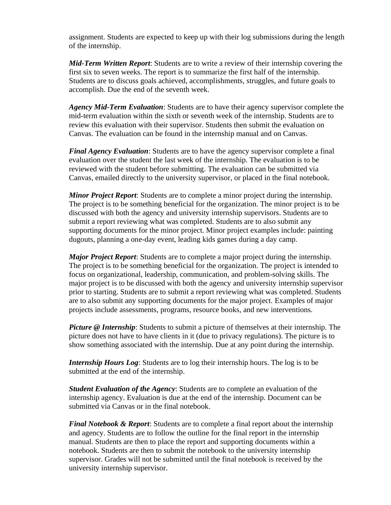assignment. Students are expected to keep up with their log submissions during the length of the internship.

*Mid-Term Written Report*: Students are to write a review of their internship covering the first six to seven weeks. The report is to summarize the first half of the internship. Students are to discuss goals achieved, accomplishments, struggles, and future goals to accomplish. Due the end of the seventh week.

*Agency Mid-Term Evaluation*: Students are to have their agency supervisor complete the mid-term evaluation within the sixth or seventh week of the internship. Students are to review this evaluation with their supervisor. Students then submit the evaluation on Canvas. The evaluation can be found in the internship manual and on Canvas.

*Final Agency Evaluation*: Students are to have the agency supervisor complete a final evaluation over the student the last week of the internship. The evaluation is to be reviewed with the student before submitting. The evaluation can be submitted via Canvas, emailed directly to the university supervisor, or placed in the final notebook.

*Minor Project Report*: Students are to complete a minor project during the internship. The project is to be something beneficial for the organization. The minor project is to be discussed with both the agency and university internship supervisors. Students are to submit a report reviewing what was completed. Students are to also submit any supporting documents for the minor project. Minor project examples include: painting dugouts, planning a one-day event, leading kids games during a day camp.

*Major Project Report*: Students are to complete a major project during the internship. The project is to be something beneficial for the organization. The project is intended to focus on organizational, leadership, communication, and problem-solving skills. The major project is to be discussed with both the agency and university internship supervisor prior to starting. Students are to submit a report reviewing what was completed. Students are to also submit any supporting documents for the major project. Examples of major projects include assessments, programs, resource books, and new interventions.

*Picture* @ *Internship*: Students to submit a picture of themselves at their internship. The picture does not have to have clients in it (due to privacy regulations). The picture is to show something associated with the internship. Due at any point during the internship.

*Internship Hours Log*: Students are to log their internship hours. The log is to be submitted at the end of the internship.

*Student Evaluation of the Agency*: Students are to complete an evaluation of the internship agency. Evaluation is due at the end of the internship. Document can be submitted via Canvas or in the final notebook.

*Final Notebook & Report*: Students are to complete a final report about the internship and agency. Students are to follow the outline for the final report in the internship manual. Students are then to place the report and supporting documents within a notebook. Students are then to submit the notebook to the university internship supervisor. Grades will not be submitted until the final notebook is received by the university internship supervisor.